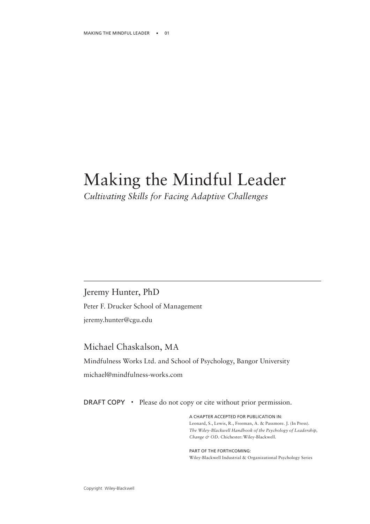# Making the Mindful Leader

*Cultivating Skills for Facing Adaptive Challenges*

Jeremy Hunter, PhD Peter F. Drucker School of Management jeremy.hunter@cgu.edu

Michael Chaskalson, MA Mindfulness Works Ltd. and School of Psychology, Bangor University michael@mindfulness-works.com

DRAFT COPY • Please do not copy or cite without prior permission.

A CHAPTER ACCEPTED FOR PUBLICATION IN: Leonard, S., Lewis, R., Freeman, A. & Passmore. J. (In Press). *The Wiley-Blackwell Handbook of the Psychology of Leadership, Change & OD.* Chichester: Wiley-Blackwell.

PART OF THE FORTHCOMING: Wiley-Blackwell Industrial & Organizational Psychology Series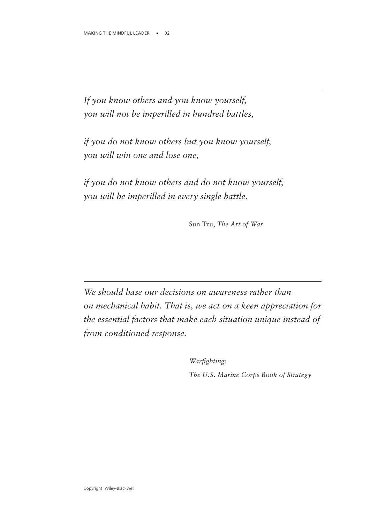*If you know others and you know yourself, you will not be imperilled in hundred battles,*

*if you do not know others but you know yourself, you will win one and lose one,*

*if you do not know others and do not know yourself, you will be imperilled in every single battle.*

Sun Tzu, *The Art of War*

*We should base our decisions on awareness rather than on mechanical habit. That is, we act on a keen appreciation for the essential factors that make each situation unique instead of from conditioned response.*

> *Warfighting*:  *The U.S. Marine Corps Book of Strategy*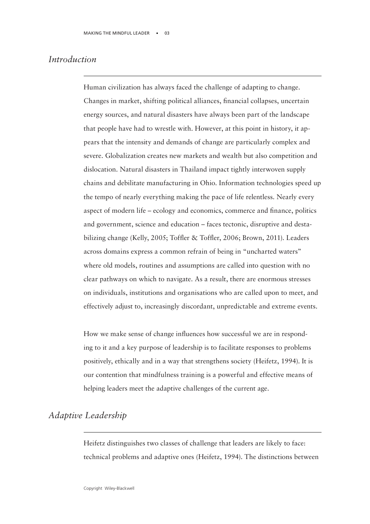## *Introduction*

Human civilization has always faced the challenge of adapting to change. Changes in market, shifting political alliances, financial collapses, uncertain energy sources, and natural disasters have always been part of the landscape that people have had to wrestle with. However, at this point in history, it appears that the intensity and demands of change are particularly complex and severe. Globalization creates new markets and wealth but also competition and dislocation. Natural disasters in Thailand impact tightly interwoven supply chains and debilitate manufacturing in Ohio. Information technologies speed up the tempo of nearly everything making the pace of life relentless. Nearly every aspect of modern life – ecology and economics, commerce and finance, politics and government, science and education – faces tectonic, disruptive and destabilizing change (Kelly, 2005; Toffler & Toffler, 2006; Brown, 2011). Leaders across domains express a common refrain of being in "uncharted waters" where old models, routines and assumptions are called into question with no clear pathways on which to navigate. As a result, there are enormous stresses on individuals, institutions and organisations who are called upon to meet, and effectively adjust to, increasingly discordant, unpredictable and extreme events.

How we make sense of change influences how successful we are in responding to it and a key purpose of leadership is to facilitate responses to problems positively, ethically and in a way that strengthens society (Heifetz, 1994). It is our contention that mindfulness training is a powerful and effective means of helping leaders meet the adaptive challenges of the current age.

#### *Adaptive Leadership*

Heifetz distinguishes two classes of challenge that leaders are likely to face: technical problems and adaptive ones (Heifetz, 1994). The distinctions between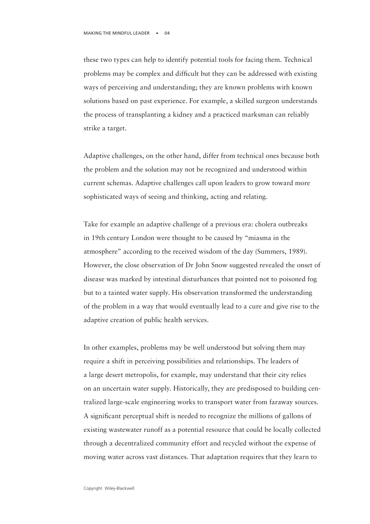these two types can help to identify potential tools for facing them. Technical problems may be complex and difficult but they can be addressed with existing ways of perceiving and understanding; they are known problems with known solutions based on past experience. For example, a skilled surgeon understands the process of transplanting a kidney and a practiced marksman can reliably strike a target.

Adaptive challenges, on the other hand, differ from technical ones because both the problem and the solution may not be recognized and understood within current schemas. Adaptive challenges call upon leaders to grow toward more sophisticated ways of seeing and thinking, acting and relating.

Take for example an adaptive challenge of a previous era: cholera outbreaks in 19th century London were thought to be caused by "miasma in the atmosphere" according to the received wisdom of the day (Summers, 1989). However, the close observation of Dr John Snow suggested revealed the onset of disease was marked by intestinal disturbances that pointed not to poisoned fog but to a tainted water supply. His observation transformed the understanding of the problem in a way that would eventually lead to a cure and give rise to the adaptive creation of public health services.

In other examples, problems may be well understood but solving them may require a shift in perceiving possibilities and relationships. The leaders of a large desert metropolis, for example, may understand that their city relies on an uncertain water supply. Historically, they are predisposed to building centralized large-scale engineering works to transport water from faraway sources. A significant perceptual shift is needed to recognize the millions of gallons of existing wastewater runoff as a potential resource that could be locally collected through a decentralized community effort and recycled without the expense of moving water across vast distances. That adaptation requires that they learn to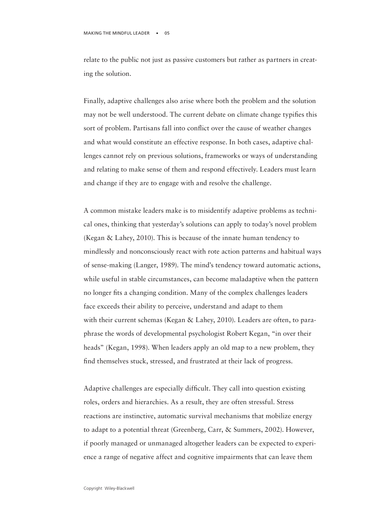relate to the public not just as passive customers but rather as partners in creating the solution.

Finally, adaptive challenges also arise where both the problem and the solution may not be well understood. The current debate on climate change typifies this sort of problem. Partisans fall into conflict over the cause of weather changes and what would constitute an effective response. In both cases, adaptive challenges cannot rely on previous solutions, frameworks or ways of understanding and relating to make sense of them and respond effectively. Leaders must learn and change if they are to engage with and resolve the challenge.

A common mistake leaders make is to misidentify adaptive problems as technical ones, thinking that yesterday's solutions can apply to today's novel problem (Kegan & Lahey, 2010). This is because of the innate human tendency to mindlessly and nonconsciously react with rote action patterns and habitual ways of sense-making (Langer, 1989). The mind's tendency toward automatic actions, while useful in stable circumstances, can become maladaptive when the pattern no longer fits a changing condition. Many of the complex challenges leaders face exceeds their ability to perceive, understand and adapt to them with their current schemas (Kegan & Lahey, 2010). Leaders are often, to paraphrase the words of developmental psychologist Robert Kegan, "in over their heads" (Kegan, 1998). When leaders apply an old map to a new problem, they find themselves stuck, stressed, and frustrated at their lack of progress.

Adaptive challenges are especially difficult. They call into question existing roles, orders and hierarchies. As a result, they are often stressful. Stress reactions are instinctive, automatic survival mechanisms that mobilize energy to adapt to a potential threat (Greenberg, Carr, & Summers, 2002). However, if poorly managed or unmanaged altogether leaders can be expected to experience a range of negative affect and cognitive impairments that can leave them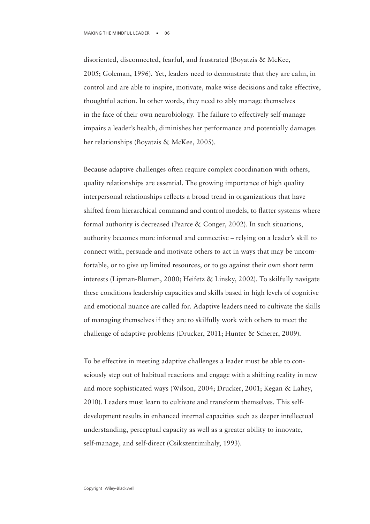disoriented, disconnected, fearful, and frustrated (Boyatzis & McKee, 2005; Goleman, 1996). Yet, leaders need to demonstrate that they are calm, in control and are able to inspire, motivate, make wise decisions and take effective, thoughtful action. In other words, they need to ably manage themselves in the face of their own neurobiology. The failure to effectively self-manage impairs a leader's health, diminishes her performance and potentially damages her relationships (Boyatzis & McKee, 2005).

Because adaptive challenges often require complex coordination with others, quality relationships are essential. The growing importance of high quality interpersonal relationships reflects a broad trend in organizations that have shifted from hierarchical command and control models, to flatter systems where formal authority is decreased (Pearce & Conger, 2002). In such situations, authority becomes more informal and connective – relying on a leader's skill to connect with, persuade and motivate others to act in ways that may be uncomfortable, or to give up limited resources, or to go against their own short term interests (Lipman-Blumen, 2000; Heifetz & Linsky, 2002). To skilfully navigate these conditions leadership capacities and skills based in high levels of cognitive and emotional nuance are called for. Adaptive leaders need to cultivate the skills of managing themselves if they are to skilfully work with others to meet the challenge of adaptive problems (Drucker, 2011; Hunter & Scherer, 2009).

To be effective in meeting adaptive challenges a leader must be able to consciously step out of habitual reactions and engage with a shifting reality in new and more sophisticated ways (Wilson, 2004; Drucker, 2001; Kegan & Lahey, 2010). Leaders must learn to cultivate and transform themselves. This selfdevelopment results in enhanced internal capacities such as deeper intellectual understanding, perceptual capacity as well as a greater ability to innovate, self-manage, and self-direct (Csikszentimihaly, 1993).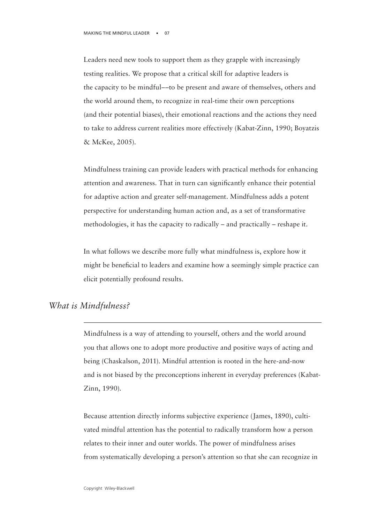Leaders need new tools to support them as they grapple with increasingly testing realities. We propose that a critical skill for adaptive leaders is the capacity to be mindful––to be present and aware of themselves, others and the world around them, to recognize in real-time their own perceptions (and their potential biases), their emotional reactions and the actions they need to take to address current realities more effectively (Kabat-Zinn, 1990; Boyatzis & McKee, 2005).

Mindfulness training can provide leaders with practical methods for enhancing attention and awareness. That in turn can significantly enhance their potential for adaptive action and greater self-management. Mindfulness adds a potent perspective for understanding human action and, as a set of transformative methodologies, it has the capacity to radically – and practically – reshape it.

In what follows we describe more fully what mindfulness is, explore how it might be beneficial to leaders and examine how a seemingly simple practice can elicit potentially profound results.

#### *What is Mindfulness?*

Mindfulness is a way of attending to yourself, others and the world around you that allows one to adopt more productive and positive ways of acting and being (Chaskalson, 2011). Mindful attention is rooted in the here-and-now and is not biased by the preconceptions inherent in everyday preferences (Kabat-Zinn, 1990).

Because attention directly informs subjective experience (James, 1890), cultivated mindful attention has the potential to radically transform how a person relates to their inner and outer worlds. The power of mindfulness arises from systematically developing a person's attention so that she can recognize in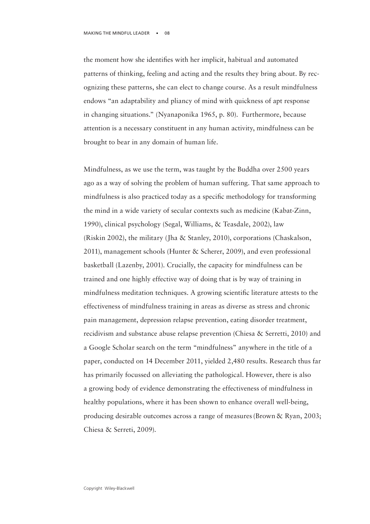the moment how she identifies with her implicit, habitual and automated patterns of thinking, feeling and acting and the results they bring about. By recognizing these patterns, she can elect to change course. As a result mindfulness endows "an adaptability and pliancy of mind with quickness of apt response in changing situations." (Nyanaponika 1965, p. 80). Furthermore, because attention is a necessary constituent in any human activity, mindfulness can be brought to bear in any domain of human life.

Mindfulness, as we use the term, was taught by the Buddha over 2500 years ago as a way of solving the problem of human suffering. That same approach to mindfulness is also practiced today as a specific methodology for transforming the mind in a wide variety of secular contexts such as medicine (Kabat-Zinn, 1990), clinical psychology (Segal, Williams, & Teasdale, 2002), law (Riskin 2002), the military (Jha & Stanley, 2010), corporations (Chaskalson, 2011), management schools (Hunter & Scherer, 2009), and even professional basketball (Lazenby, 2001). Crucially, the capacity for mindfulness can be trained and one highly effective way of doing that is by way of training in mindfulness meditation techniques. A growing scientific literature attests to the effectiveness of mindfulness training in areas as diverse as stress and chronic pain management, depression relapse prevention, eating disorder treatment, recidivism and substance abuse relapse prevention (Chiesa & Serretti, 2010) and a Google Scholar search on the term "mindfulness" anywhere in the title of a paper, conducted on 14 December 2011, yielded 2,480 results. Research thus far has primarily focussed on alleviating the pathological. However, there is also a growing body of evidence demonstrating the effectiveness of mindfulness in healthy populations, where it has been shown to enhance overall well-being, producing desirable outcomes across a range of measures (Brown & Ryan, 2003; Chiesa & Serreti, 2009).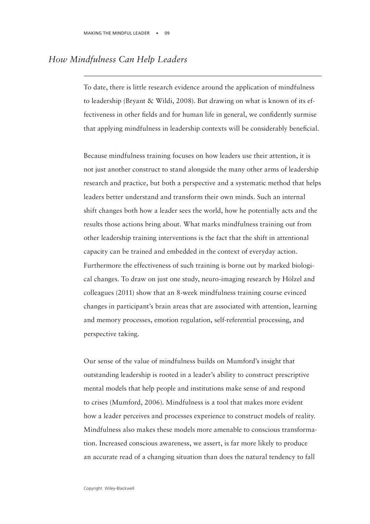#### *How Mindfulness Can Help Leaders*

To date, there is little research evidence around the application of mindfulness to leadership (Bryant & Wildi, 2008). But drawing on what is known of its effectiveness in other fields and for human life in general, we confidently surmise that applying mindfulness in leadership contexts will be considerably beneficial.

Because mindfulness training focuses on how leaders use their attention, it is not just another construct to stand alongside the many other arms of leadership research and practice, but both a perspective and a systematic method that helps leaders better understand and transform their own minds. Such an internal shift changes both how a leader sees the world, how he potentially acts and the results those actions bring about. What marks mindfulness training out from other leadership training interventions is the fact that the shift in attentional capacity can be trained and embedded in the context of everyday action. Furthermore the effectiveness of such training is borne out by marked biological changes. To draw on just one study, neuro-imaging research by Hölzel and colleagues (2011) show that an 8-week mindfulness training course evinced changes in participant's brain areas that are associated with attention, learning and memory processes, emotion regulation, self-referential processing, and perspective taking.

Our sense of the value of mindfulness builds on Mumford's insight that outstanding leadership is rooted in a leader's ability to construct prescriptive mental models that help people and institutions make sense of and respond to crises (Mumford, 2006). Mindfulness is a tool that makes more evident how a leader perceives and processes experience to construct models of reality. Mindfulness also makes these models more amenable to conscious transformation. Increased conscious awareness, we assert, is far more likely to produce an accurate read of a changing situation than does the natural tendency to fall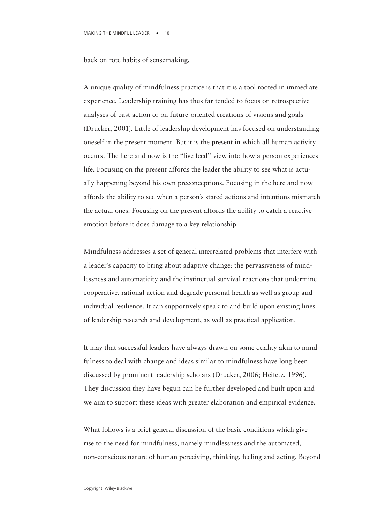back on rote habits of sensemaking.

A unique quality of mindfulness practice is that it is a tool rooted in immediate experience. Leadership training has thus far tended to focus on retrospective analyses of past action or on future-oriented creations of visions and goals (Drucker, 2001). Little of leadership development has focused on understanding oneself in the present moment. But it is the present in which all human activity occurs. The here and now is the "live feed" view into how a person experiences life. Focusing on the present affords the leader the ability to see what is actually happening beyond his own preconceptions. Focusing in the here and now affords the ability to see when a person's stated actions and intentions mismatch the actual ones. Focusing on the present affords the ability to catch a reactive emotion before it does damage to a key relationship.

Mindfulness addresses a set of general interrelated problems that interfere with a leader's capacity to bring about adaptive change: the pervasiveness of mindlessness and automaticity and the instinctual survival reactions that undermine cooperative, rational action and degrade personal health as well as group and individual resilience. It can supportively speak to and build upon existing lines of leadership research and development, as well as practical application.

It may that successful leaders have always drawn on some quality akin to mindfulness to deal with change and ideas similar to mindfulness have long been discussed by prominent leadership scholars (Drucker, 2006; Heifetz, 1996). They discussion they have begun can be further developed and built upon and we aim to support these ideas with greater elaboration and empirical evidence.

What follows is a brief general discussion of the basic conditions which give rise to the need for mindfulness, namely mindlessness and the automated, non-conscious nature of human perceiving, thinking, feeling and acting. Beyond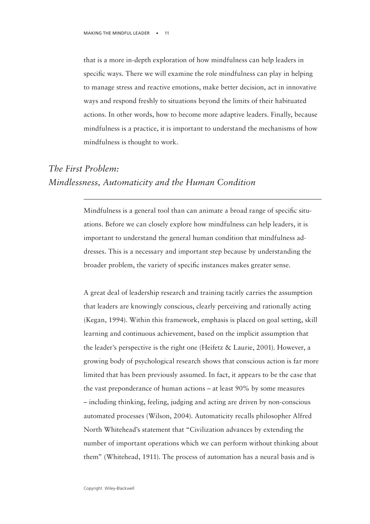that is a more in-depth exploration of how mindfulness can help leaders in specific ways. There we will examine the role mindfulness can play in helping to manage stress and reactive emotions, make better decision, act in innovative ways and respond freshly to situations beyond the limits of their habituated actions. In other words, how to become more adaptive leaders. Finally, because mindfulness is a practice, it is important to understand the mechanisms of how mindfulness is thought to work.

# *The First Problem: Mindlessness, Automaticity and the Human Condition*

Mindfulness is a general tool than can animate a broad range of specific situations. Before we can closely explore how mindfulness can help leaders, it is important to understand the general human condition that mindfulness addresses. This is a necessary and important step because by understanding the broader problem, the variety of specific instances makes greater sense.

A great deal of leadership research and training tacitly carries the assumption that leaders are knowingly conscious, clearly perceiving and rationally acting (Kegan, 1994). Within this framework, emphasis is placed on goal setting, skill learning and continuous achievement, based on the implicit assumption that the leader's perspective is the right one (Heifetz & Laurie, 2001). However, a growing body of psychological research shows that conscious action is far more limited that has been previously assumed. In fact, it appears to be the case that the vast preponderance of human actions – at least 90% by some measures – including thinking, feeling, judging and acting are driven by non-conscious automated processes (Wilson, 2004). Automaticity recalls philosopher Alfred North Whitehead's statement that "Civilization advances by extending the number of important operations which we can perform without thinking about them" (Whitehead, 1911). The process of automation has a neural basis and is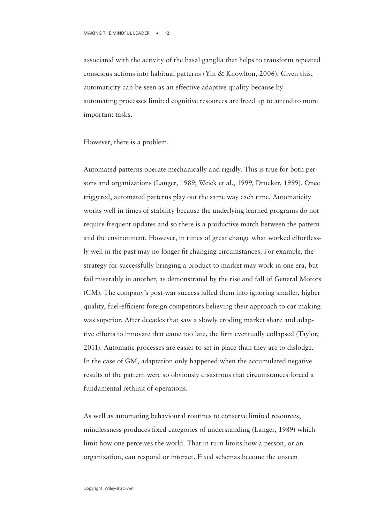associated with the activity of the basal ganglia that helps to transform repeated conscious actions into habitual patterns (Yin & Knowlton, 2006). Given this, automaticity can be seen as an effective adaptive quality because by automating processes limited cognitive resources are freed up to attend to more important tasks.

However, there is a problem.

Automated patterns operate mechanically and rigidly. This is true for both persons and organizations (Langer, 1989; Weick et al., 1999, Drucker, 1999). Once triggered, automated patterns play out the same way each time. Automaticity works well in times of stability because the underlying learned programs do not require frequent updates and so there is a productive match between the pattern and the environment. However, in times of great change what worked effortlessly well in the past may no longer fit changing circumstances. For example, the strategy for successfully bringing a product to market may work in one era, but fail miserably in another, as demonstrated by the rise and fall of General Motors (GM). The company's post-war success lulled them into ignoring smaller, higher quality, fuel-efficient foreign competitors believing their approach to car making was superior. After decades that saw a slowly eroding market share and adaptive efforts to innovate that came too late, the firm eventually collapsed (Taylor, 2011). Automatic processes are easier to set in place than they are to dislodge. In the case of GM, adaptation only happened when the accumulated negative results of the pattern were so obviously disastrous that circumstances forced a fundamental rethink of operations.

As well as automating behavioural routines to conserve limited resources, mindlessness produces fixed categories of understanding (Langer, 1989) which limit how one perceives the world. That in turn limits how a person, or an organization, can respond or interact. Fixed schemas become the unseen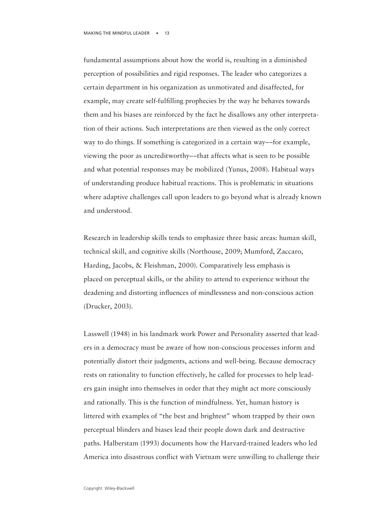fundamental assumptions about how the world is, resulting in a diminished perception of possibilities and rigid responses. The leader who categorizes a certain department in his organization as unmotivated and disaffected, for example, may create self-fulfilling prophecies by the way he behaves towards them and his biases are reinforced by the fact he disallows any other interpretation of their actions. Such interpretations are then viewed as the only correct way to do things. If something is categorized in a certain way––for example, viewing the poor as uncreditworthy––that affects what is seen to be possible and what potential responses may be mobilized (Yunus, 2008). Habitual ways of understanding produce habitual reactions. This is problematic in situations where adaptive challenges call upon leaders to go beyond what is already known and understood.

Research in leadership skills tends to emphasize three basic areas: human skill, technical skill, and cognitive skills (Northouse, 2009; Mumford, Zaccaro, Harding, Jacobs, & Fleishman, 2000). Comparatively less emphasis is placed on perceptual skills, or the ability to attend to experience without the deadening and distorting influences of mindlessness and non-conscious action (Drucker, 2003).

Lasswell (1948) in his landmark work Power and Personality asserted that leaders in a democracy must be aware of how non-conscious processes inform and potentially distort their judgments, actions and well-being. Because democracy rests on rationality to function effectively, he called for processes to help leaders gain insight into themselves in order that they might act more consciously and rationally. This is the function of mindfulness. Yet, human history is littered with examples of "the best and brightest" whom trapped by their own perceptual blinders and biases lead their people down dark and destructive paths. Halberstam (1993) documents how the Harvard-trained leaders who led America into disastrous conflict with Vietnam were unwilling to challenge their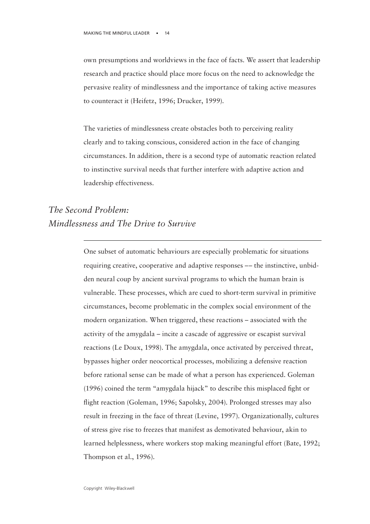own presumptions and worldviews in the face of facts. We assert that leadership research and practice should place more focus on the need to acknowledge the pervasive reality of mindlessness and the importance of taking active measures to counteract it (Heifetz, 1996; Drucker, 1999).

The varieties of mindlessness create obstacles both to perceiving reality clearly and to taking conscious, considered action in the face of changing circumstances. In addition, there is a second type of automatic reaction related to instinctive survival needs that further interfere with adaptive action and leadership effectiveness.

# *The Second Problem: Mindlessness and The Drive to Survive*

One subset of automatic behaviours are especially problematic for situations requiring creative, cooperative and adaptive responses –– the instinctive, unbidden neural coup by ancient survival programs to which the human brain is vulnerable. These processes, which are cued to short-term survival in primitive circumstances, become problematic in the complex social environment of the modern organization. When triggered, these reactions – associated with the activity of the amygdala – incite a cascade of aggressive or escapist survival reactions (Le Doux, 1998). The amygdala, once activated by perceived threat, bypasses higher order neocortical processes, mobilizing a defensive reaction before rational sense can be made of what a person has experienced. Goleman (1996) coined the term "amygdala hijack" to describe this misplaced fight or flight reaction (Goleman, 1996; Sapolsky, 2004). Prolonged stresses may also result in freezing in the face of threat (Levine, 1997). Organizationally, cultures of stress give rise to freezes that manifest as demotivated behaviour, akin to learned helplessness, where workers stop making meaningful effort (Bate, 1992; Thompson et al., 1996).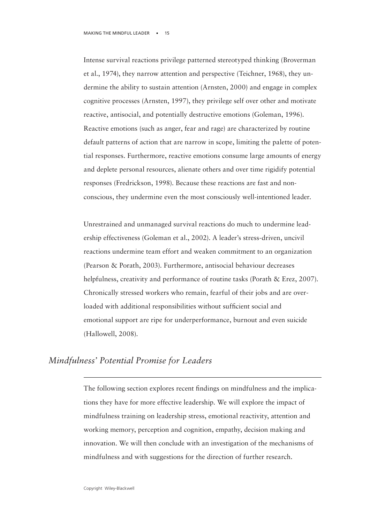Intense survival reactions privilege patterned stereotyped thinking (Broverman et al., 1974), they narrow attention and perspective (Teichner, 1968), they undermine the ability to sustain attention (Arnsten, 2000) and engage in complex cognitive processes (Arnsten, 1997), they privilege self over other and motivate reactive, antisocial, and potentially destructive emotions (Goleman, 1996). Reactive emotions (such as anger, fear and rage) are characterized by routine default patterns of action that are narrow in scope, limiting the palette of potential responses. Furthermore, reactive emotions consume large amounts of energy and deplete personal resources, alienate others and over time rigidify potential responses (Fredrickson, 1998). Because these reactions are fast and nonconscious, they undermine even the most consciously well-intentioned leader.

Unrestrained and unmanaged survival reactions do much to undermine leadership effectiveness (Goleman et al., 2002). A leader's stress-driven, uncivil reactions undermine team effort and weaken commitment to an organization (Pearson & Porath, 2003). Furthermore, antisocial behaviour decreases helpfulness, creativity and performance of routine tasks (Porath & Erez, 2007). Chronically stressed workers who remain, fearful of their jobs and are overloaded with additional responsibilities without sufficient social and emotional support are ripe for underperformance, burnout and even suicide (Hallowell, 2008).

#### *Mindfulness' Potential Promise for Leaders*

The following section explores recent findings on mindfulness and the implications they have for more effective leadership. We will explore the impact of mindfulness training on leadership stress, emotional reactivity, attention and working memory, perception and cognition, empathy, decision making and innovation. We will then conclude with an investigation of the mechanisms of mindfulness and with suggestions for the direction of further research.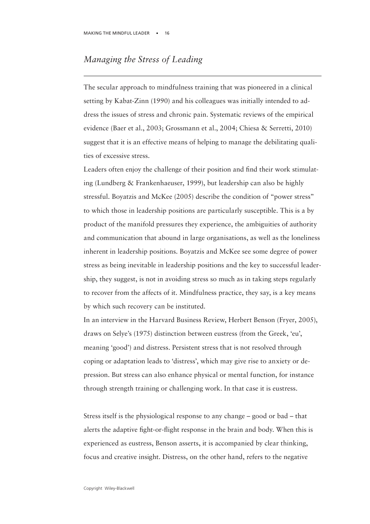# *Managing the Stress of Leading*

The secular approach to mindfulness training that was pioneered in a clinical setting by Kabat-Zinn (1990) and his colleagues was initially intended to address the issues of stress and chronic pain. Systematic reviews of the empirical evidence (Baer et al., 2003; Grossmann et al., 2004; Chiesa & Serretti, 2010) suggest that it is an effective means of helping to manage the debilitating qualities of excessive stress.

Leaders often enjoy the challenge of their position and find their work stimulating (Lundberg & Frankenhaeuser, 1999), but leadership can also be highly stressful. Boyatzis and McKee (2005) describe the condition of "power stress" to which those in leadership positions are particularly susceptible. This is a by product of the manifold pressures they experience, the ambiguities of authority and communication that abound in large organisations, as well as the loneliness inherent in leadership positions. Boyatzis and McKee see some degree of power stress as being inevitable in leadership positions and the key to successful leadership, they suggest, is not in avoiding stress so much as in taking steps regularly to recover from the affects of it. Mindfulness practice, they say, is a key means by which such recovery can be instituted.

In an interview in the Harvard Business Review, Herbert Benson (Fryer, 2005), draws on Selye's (1975) distinction between eustress (from the Greek, 'eu', meaning 'good') and distress. Persistent stress that is not resolved through coping or adaptation leads to 'distress', which may give rise to anxiety or depression. But stress can also enhance physical or mental function, for instance through strength training or challenging work. In that case it is eustress.

Stress itself is the physiological response to any change – good or bad – that alerts the adaptive fight-or-flight response in the brain and body. When this is experienced as eustress, Benson asserts, it is accompanied by clear thinking, focus and creative insight. Distress, on the other hand, refers to the negative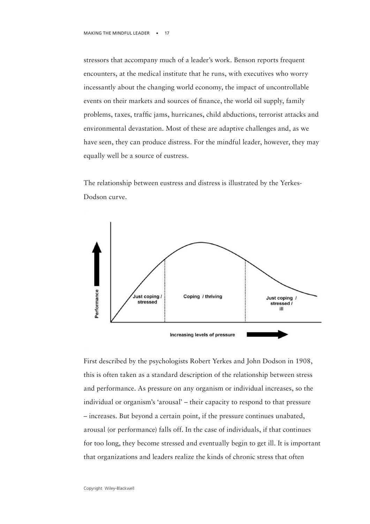stressors that accompany much of a leader's work. Benson reports frequent encounters, at the medical institute that he runs, with executives who worry incessantly about the changing world economy, the impact of uncontrollable events on their markets and sources of finance, the world oil supply, family problems, taxes, traffic jams, hurricanes, child abductions, terrorist attacks and environmental devastation. Most of these are adaptive challenges and, as we have seen, they can produce distress. For the mindful leader, however, they may equally well be a source of eustress.

The relationship between eustress and distress is illustrated by the Yerkes-Dodson curve.



First described by the psychologists Robert Yerkes and John Dodson in 1908, this is often taken as a standard description of the relationship between stress and performance. As pressure on any organism or individual increases, so the individual or organism's 'arousal' – their capacity to respond to that pressure – increases. But beyond a certain point, if the pressure continues unabated, arousal (or performance) falls off. In the case of individuals, if that continues for too long, they become stressed and eventually begin to get ill. It is important that organizations and leaders realize the kinds of chronic stress that often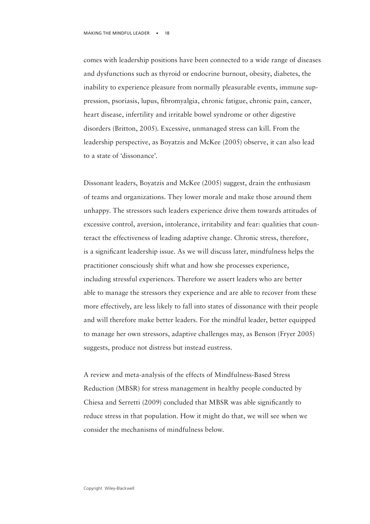comes with leadership positions have been connected to a wide range of diseases and dysfunctions such as thyroid or endocrine burnout, obesity, diabetes, the inability to experience pleasure from normally pleasurable events, immune suppression, psoriasis, lupus, fibromyalgia, chronic fatigue, chronic pain, cancer, heart disease, infertility and irritable bowel syndrome or other digestive disorders (Britton, 2005). Excessive, unmanaged stress can kill. From the leadership perspective, as Boyatzis and McKee (2005) observe, it can also lead to a state of 'dissonance'.

Dissonant leaders, Boyatzis and McKee (2005) suggest, drain the enthusiasm of teams and organizations. They lower morale and make those around them unhappy. The stressors such leaders experience drive them towards attitudes of excessive control, aversion, intolerance, irritability and fear: qualities that counteract the effectiveness of leading adaptive change. Chronic stress, therefore, is a significant leadership issue. As we will discuss later, mindfulness helps the practitioner consciously shift what and how she processes experience, including stressful experiences. Therefore we assert leaders who are better able to manage the stressors they experience and are able to recover from these more effectively, are less likely to fall into states of dissonance with their people and will therefore make better leaders. For the mindful leader, better equipped to manage her own stressors, adaptive challenges may, as Benson (Fryer 2005) suggests, produce not distress but instead eustress.

A review and meta-analysis of the effects of Mindfulness-Based Stress Reduction (MBSR) for stress management in healthy people conducted by Chiesa and Serretti (2009) concluded that MBSR was able significantly to reduce stress in that population. How it might do that, we will see when we consider the mechanisms of mindfulness below.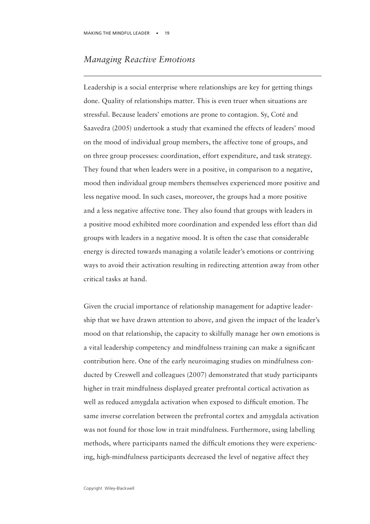#### *Managing Reactive Emotions*

Leadership is a social enterprise where relationships are key for getting things done. Quality of relationships matter. This is even truer when situations are stressful. Because leaders' emotions are prone to contagion. Sy, Coté and Saavedra (2005) undertook a study that examined the effects of leaders' mood on the mood of individual group members, the affective tone of groups, and on three group processes: coordination, effort expenditure, and task strategy. They found that when leaders were in a positive, in comparison to a negative, mood then individual group members themselves experienced more positive and less negative mood. In such cases, moreover, the groups had a more positive and a less negative affective tone. They also found that groups with leaders in a positive mood exhibited more coordination and expended less effort than did groups with leaders in a negative mood. It is often the case that considerable energy is directed towards managing a volatile leader's emotions or contriving ways to avoid their activation resulting in redirecting attention away from other critical tasks at hand.

Given the crucial importance of relationship management for adaptive leadership that we have drawn attention to above, and given the impact of the leader's mood on that relationship, the capacity to skilfully manage her own emotions is a vital leadership competency and mindfulness training can make a significant contribution here. One of the early neuroimaging studies on mindfulness conducted by Creswell and colleagues (2007) demonstrated that study participants higher in trait mindfulness displayed greater prefrontal cortical activation as well as reduced amygdala activation when exposed to difficult emotion. The same inverse correlation between the prefrontal cortex and amygdala activation was not found for those low in trait mindfulness. Furthermore, using labelling methods, where participants named the difficult emotions they were experiencing, high-mindfulness participants decreased the level of negative affect they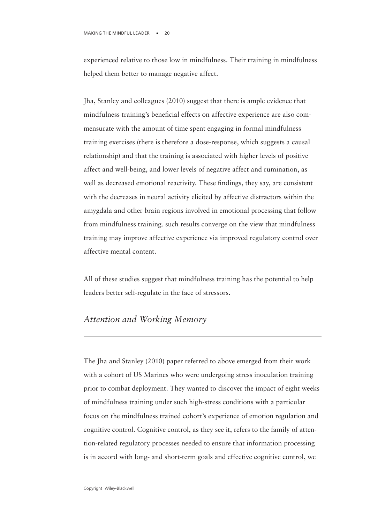experienced relative to those low in mindfulness. Their training in mindfulness helped them better to manage negative affect.

Jha, Stanley and colleagues (2010) suggest that there is ample evidence that mindfulness training's beneficial effects on affective experience are also commensurate with the amount of time spent engaging in formal mindfulness training exercises (there is therefore a dose-response, which suggests a causal relationship) and that the training is associated with higher levels of positive affect and well-being, and lower levels of negative affect and rumination, as well as decreased emotional reactivity. These findings, they say, are consistent with the decreases in neural activity elicited by affective distractors within the amygdala and other brain regions involved in emotional processing that follow from mindfulness training. such results converge on the view that mindfulness training may improve affective experience via improved regulatory control over affective mental content.

All of these studies suggest that mindfulness training has the potential to help leaders better self-regulate in the face of stressors.

#### *Attention and Working Memory*

The Jha and Stanley (2010) paper referred to above emerged from their work with a cohort of US Marines who were undergoing stress inoculation training prior to combat deployment. They wanted to discover the impact of eight weeks of mindfulness training under such high-stress conditions with a particular focus on the mindfulness trained cohort's experience of emotion regulation and cognitive control. Cognitive control, as they see it, refers to the family of attention-related regulatory processes needed to ensure that information processing is in accord with long- and short-term goals and effective cognitive control, we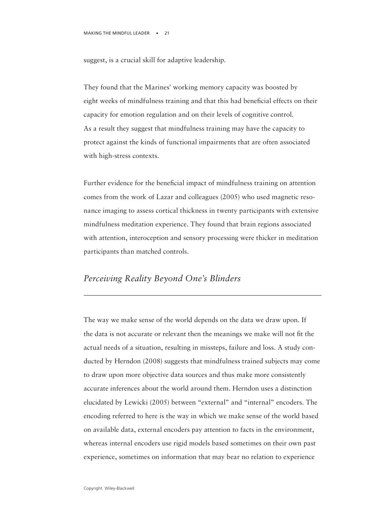suggest, is a crucial skill for adaptive leadership.

They found that the Marines' working memory capacity was boosted by eight weeks of mindfulness training and that this had beneficial effects on their capacity for emotion regulation and on their levels of cognitive control. As a result they suggest that mindfulness training may have the capacity to protect against the kinds of functional impairments that are often associated with high-stress contexts.

Further evidence for the beneficial impact of mindfulness training on attention comes from the work of Lazar and colleagues (2005) who used magnetic resonance imaging to assess cortical thickness in twenty participants with extensive mindfulness meditation experience. They found that brain regions associated with attention, interoception and sensory processing were thicker in meditation participants than matched controls.

#### *Perceiving Reality Beyond One's Blinders*

The way we make sense of the world depends on the data we draw upon. If the data is not accurate or relevant then the meanings we make will not fit the actual needs of a situation, resulting in missteps, failure and loss. A study conducted by Herndon (2008) suggests that mindfulness trained subjects may come to draw upon more objective data sources and thus make more consistently accurate inferences about the world around them. Herndon uses a distinction elucidated by Lewicki (2005) between "external" and "internal" encoders. The encoding referred to here is the way in which we make sense of the world based on available data, external encoders pay attention to facts in the environment, whereas internal encoders use rigid models based sometimes on their own past experience, sometimes on information that may bear no relation to experience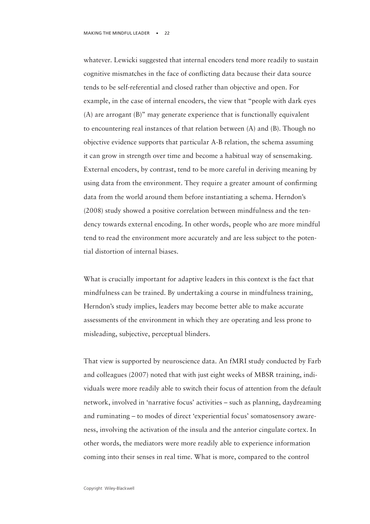whatever. Lewicki suggested that internal encoders tend more readily to sustain cognitive mismatches in the face of conflicting data because their data source tends to be self-referential and closed rather than objective and open. For example, in the case of internal encoders, the view that "people with dark eyes (A) are arrogant (B)" may generate experience that is functionally equivalent to encountering real instances of that relation between (A) and (B). Though no objective evidence supports that particular A-B relation, the schema assuming it can grow in strength over time and become a habitual way of sensemaking. External encoders, by contrast, tend to be more careful in deriving meaning by using data from the environment. They require a greater amount of confirming data from the world around them before instantiating a schema. Herndon's (2008) study showed a positive correlation between mindfulness and the tendency towards external encoding. In other words, people who are more mindful tend to read the environment more accurately and are less subject to the potential distortion of internal biases.

What is crucially important for adaptive leaders in this context is the fact that mindfulness can be trained. By undertaking a course in mindfulness training, Herndon's study implies, leaders may become better able to make accurate assessments of the environment in which they are operating and less prone to misleading, subjective, perceptual blinders.

That view is supported by neuroscience data. An fMRI study conducted by Farb and colleagues (2007) noted that with just eight weeks of MBSR training, individuals were more readily able to switch their focus of attention from the default network, involved in 'narrative focus' activities – such as planning, daydreaming and ruminating – to modes of direct 'experiential focus' somatosensory awareness, involving the activation of the insula and the anterior cingulate cortex. In other words, the mediators were more readily able to experience information coming into their senses in real time. What is more, compared to the control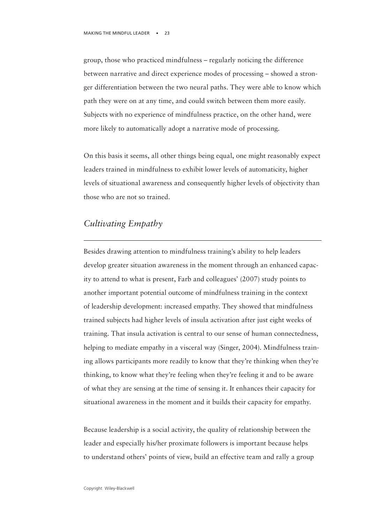group, those who practiced mindfulness – regularly noticing the difference between narrative and direct experience modes of processing – showed a stronger differentiation between the two neural paths. They were able to know which path they were on at any time, and could switch between them more easily. Subjects with no experience of mindfulness practice, on the other hand, were more likely to automatically adopt a narrative mode of processing.

On this basis it seems, all other things being equal, one might reasonably expect leaders trained in mindfulness to exhibit lower levels of automaticity, higher levels of situational awareness and consequently higher levels of objectivity than those who are not so trained.

#### *Cultivating Empathy*

Besides drawing attention to mindfulness training's ability to help leaders develop greater situation awareness in the moment through an enhanced capacity to attend to what is present, Farb and colleagues' (2007) study points to another important potential outcome of mindfulness training in the context of leadership development: increased empathy. They showed that mindfulness trained subjects had higher levels of insula activation after just eight weeks of training. That insula activation is central to our sense of human connectedness, helping to mediate empathy in a visceral way (Singer, 2004). Mindfulness training allows participants more readily to know that they're thinking when they're thinking, to know what they're feeling when they're feeling it and to be aware of what they are sensing at the time of sensing it. It enhances their capacity for situational awareness in the moment and it builds their capacity for empathy.

Because leadership is a social activity, the quality of relationship between the leader and especially his/her proximate followers is important because helps to understand others' points of view, build an effective team and rally a group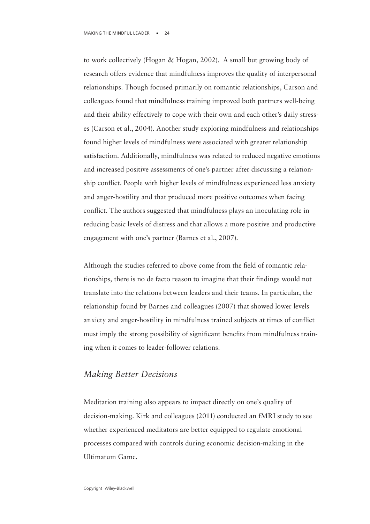to work collectively (Hogan & Hogan, 2002). A small but growing body of research offers evidence that mindfulness improves the quality of interpersonal relationships. Though focused primarily on romantic relationships, Carson and colleagues found that mindfulness training improved both partners well-being and their ability effectively to cope with their own and each other's daily stresses (Carson et al., 2004). Another study exploring mindfulness and relationships found higher levels of mindfulness were associated with greater relationship satisfaction. Additionally, mindfulness was related to reduced negative emotions and increased positive assessments of one's partner after discussing a relationship conflict. People with higher levels of mindfulness experienced less anxiety and anger-hostility and that produced more positive outcomes when facing conflict. The authors suggested that mindfulness plays an inoculating role in reducing basic levels of distress and that allows a more positive and productive engagement with one's partner (Barnes et al., 2007).

Although the studies referred to above come from the field of romantic relationships, there is no de facto reason to imagine that their findings would not translate into the relations between leaders and their teams. In particular, the relationship found by Barnes and colleagues (2007) that showed lower levels anxiety and anger-hostility in mindfulness trained subjects at times of conflict must imply the strong possibility of significant benefits from mindfulness training when it comes to leader-follower relations.

#### *Making Better Decisions*

Meditation training also appears to impact directly on one's quality of decision-making. Kirk and colleagues (2011) conducted an fMRI study to see whether experienced meditators are better equipped to regulate emotional processes compared with controls during economic decision-making in the Ultimatum Game.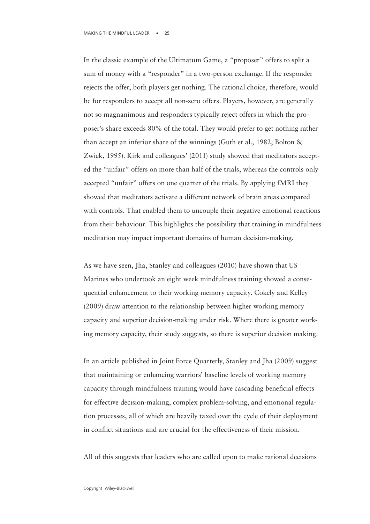In the classic example of the Ultimatum Game, a "proposer" offers to split a sum of money with a "responder" in a two-person exchange. If the responder rejects the offer, both players get nothing. The rational choice, therefore, would be for responders to accept all non-zero offers. Players, however, are generally not so magnanimous and responders typically reject offers in which the proposer's share exceeds 80% of the total. They would prefer to get nothing rather than accept an inferior share of the winnings (Guth et al., 1982; Bolton & Zwick, 1995). Kirk and colleagues' (2011) study showed that meditators accepted the "unfair" offers on more than half of the trials, whereas the controls only accepted "unfair" offers on one quarter of the trials. By applying fMRI they showed that meditators activate a different network of brain areas compared with controls. That enabled them to uncouple their negative emotional reactions from their behaviour. This highlights the possibility that training in mindfulness meditation may impact important domains of human decision-making.

As we have seen, Jha, Stanley and colleagues (2010) have shown that US Marines who undertook an eight week mindfulness training showed a consequential enhancement to their working memory capacity. Cokely and Kelley (2009) draw attention to the relationship between higher working memory capacity and superior decision-making under risk. Where there is greater working memory capacity, their study suggests, so there is superior decision making.

In an article published in Joint Force Quarterly, Stanley and Jha (2009) suggest that maintaining or enhancing warriors' baseline levels of working memory capacity through mindfulness training would have cascading beneficial effects for effective decision-making, complex problem-solving, and emotional regulation processes, all of which are heavily taxed over the cycle of their deployment in conflict situations and are crucial for the effectiveness of their mission.

All of this suggests that leaders who are called upon to make rational decisions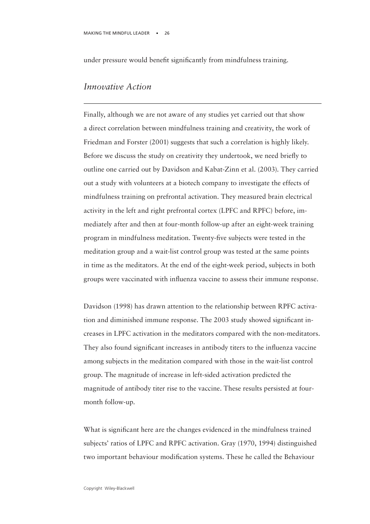under pressure would benefit significantly from mindfulness training.

#### *Innovative Action*

Finally, although we are not aware of any studies yet carried out that show a direct correlation between mindfulness training and creativity, the work of Friedman and Forster (2001) suggests that such a correlation is highly likely. Before we discuss the study on creativity they undertook, we need briefly to outline one carried out by Davidson and Kabat-Zinn et al. (2003). They carried out a study with volunteers at a biotech company to investigate the effects of mindfulness training on prefrontal activation. They measured brain electrical activity in the left and right prefrontal cortex (LPFC and RPFC) before, immediately after and then at four-month follow-up after an eight-week training program in mindfulness meditation. Twenty-five subjects were tested in the meditation group and a wait-list control group was tested at the same points in time as the meditators. At the end of the eight-week period, subjects in both groups were vaccinated with influenza vaccine to assess their immune response.

Davidson (1998) has drawn attention to the relationship between RPFC activation and diminished immune response. The 2003 study showed significant increases in LPFC activation in the meditators compared with the non-meditators. They also found significant increases in antibody titers to the influenza vaccine among subjects in the meditation compared with those in the wait-list control group. The magnitude of increase in left-sided activation predicted the magnitude of antibody titer rise to the vaccine. These results persisted at fourmonth follow-up.

What is significant here are the changes evidenced in the mindfulness trained subjects' ratios of LPFC and RPFC activation. Gray (1970, 1994) distinguished two important behaviour modification systems. These he called the Behaviour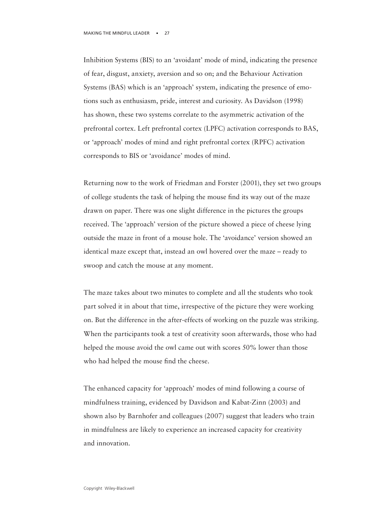Inhibition Systems (BIS) to an 'avoidant' mode of mind, indicating the presence of fear, disgust, anxiety, aversion and so on; and the Behaviour Activation Systems (BAS) which is an 'approach' system, indicating the presence of emotions such as enthusiasm, pride, interest and curiosity. As Davidson (1998) has shown, these two systems correlate to the asymmetric activation of the prefrontal cortex. Left prefrontal cortex (LPFC) activation corresponds to BAS, or 'approach' modes of mind and right prefrontal cortex (RPFC) activation corresponds to BIS or 'avoidance' modes of mind.

Returning now to the work of Friedman and Forster (2001), they set two groups of college students the task of helping the mouse find its way out of the maze drawn on paper. There was one slight difference in the pictures the groups received. The 'approach' version of the picture showed a piece of cheese lying outside the maze in front of a mouse hole. The 'avoidance' version showed an identical maze except that, instead an owl hovered over the maze – ready to swoop and catch the mouse at any moment.

The maze takes about two minutes to complete and all the students who took part solved it in about that time, irrespective of the picture they were working on. But the difference in the after-effects of working on the puzzle was striking. When the participants took a test of creativity soon afterwards, those who had helped the mouse avoid the owl came out with scores 50% lower than those who had helped the mouse find the cheese.

The enhanced capacity for 'approach' modes of mind following a course of mindfulness training, evidenced by Davidson and Kabat-Zinn (2003) and shown also by Barnhofer and colleagues (2007) suggest that leaders who train in mindfulness are likely to experience an increased capacity for creativity and innovation.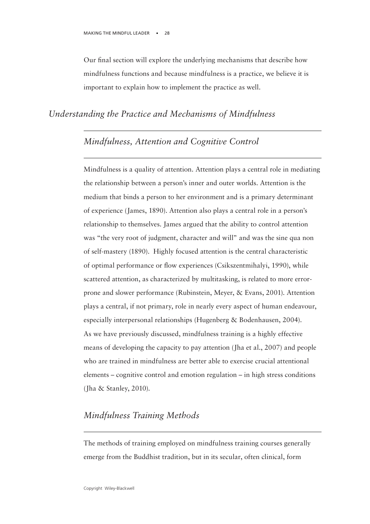Our final section will explore the underlying mechanisms that describe how mindfulness functions and because mindfulness is a practice, we believe it is important to explain how to implement the practice as well.

#### *Understanding the Practice and Mechanisms of Mindfulness*

#### *Mindfulness, Attention and Cognitive Control*

Mindfulness is a quality of attention. Attention plays a central role in mediating the relationship between a person's inner and outer worlds. Attention is the medium that binds a person to her environment and is a primary determinant of experience (James, 1890). Attention also plays a central role in a person's relationship to themselves. James argued that the ability to control attention was "the very root of judgment, character and will" and was the sine qua non of self-mastery (1890). Highly focused attention is the central characteristic of optimal performance or flow experiences (Csikszentmihalyi, 1990), while scattered attention, as characterized by multitasking, is related to more errorprone and slower performance (Rubinstein, Meyer, & Evans, 2001). Attention plays a central, if not primary, role in nearly every aspect of human endeavour, especially interpersonal relationships (Hugenberg & Bodenhausen, 2004). As we have previously discussed, mindfulness training is a highly effective means of developing the capacity to pay attention (Jha et al., 2007) and people who are trained in mindfulness are better able to exercise crucial attentional elements – cognitive control and emotion regulation – in high stress conditions (Jha & Stanley, 2010).

#### *Mindfulness Training Methods*

The methods of training employed on mindfulness training courses generally emerge from the Buddhist tradition, but in its secular, often clinical, form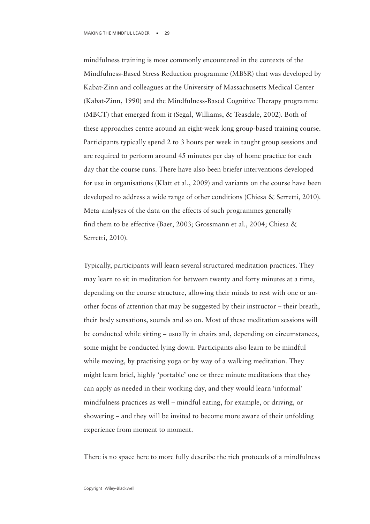mindfulness training is most commonly encountered in the contexts of the Mindfulness-Based Stress Reduction programme (MBSR) that was developed by Kabat-Zinn and colleagues at the University of Massachusetts Medical Center (Kabat-Zinn, 1990) and the Mindfulness-Based Cognitive Therapy programme (MBCT) that emerged from it (Segal, Williams, & Teasdale, 2002). Both of these approaches centre around an eight-week long group-based training course. Participants typically spend 2 to 3 hours per week in taught group sessions and are required to perform around 45 minutes per day of home practice for each day that the course runs. There have also been briefer interventions developed for use in organisations (Klatt et al., 2009) and variants on the course have been developed to address a wide range of other conditions (Chiesa & Serretti, 2010). Meta-analyses of the data on the effects of such programmes generally find them to be effective (Baer, 2003; Grossmann et al., 2004; Chiesa & Serretti, 2010).

Typically, participants will learn several structured meditation practices. They may learn to sit in meditation for between twenty and forty minutes at a time, depending on the course structure, allowing their minds to rest with one or another focus of attention that may be suggested by their instructor – their breath, their body sensations, sounds and so on. Most of these meditation sessions will be conducted while sitting – usually in chairs and, depending on circumstances, some might be conducted lying down. Participants also learn to be mindful while moving, by practising yoga or by way of a walking meditation. They might learn brief, highly 'portable' one or three minute meditations that they can apply as needed in their working day, and they would learn 'informal' mindfulness practices as well – mindful eating, for example, or driving, or showering – and they will be invited to become more aware of their unfolding experience from moment to moment.

There is no space here to more fully describe the rich protocols of a mindfulness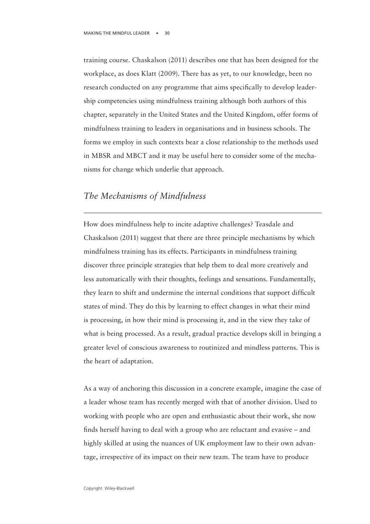training course. Chaskalson (2011) describes one that has been designed for the workplace, as does Klatt (2009). There has as yet, to our knowledge, been no research conducted on any programme that aims specifically to develop leadership competencies using mindfulness training although both authors of this chapter, separately in the United States and the United Kingdom, offer forms of mindfulness training to leaders in organisations and in business schools. The forms we employ in such contexts bear a close relationship to the methods used in MBSR and MBCT and it may be useful here to consider some of the mechanisms for change which underlie that approach.

#### *The Mechanisms of Mindfulness*

How does mindfulness help to incite adaptive challenges? Teasdale and Chaskalson (2011) suggest that there are three principle mechanisms by which mindfulness training has its effects. Participants in mindfulness training discover three principle strategies that help them to deal more creatively and less automatically with their thoughts, feelings and sensations. Fundamentally, they learn to shift and undermine the internal conditions that support difficult states of mind. They do this by learning to effect changes in what their mind is processing, in how their mind is processing it, and in the view they take of what is being processed. As a result, gradual practice develops skill in bringing a greater level of conscious awareness to routinized and mindless patterns. This is the heart of adaptation.

As a way of anchoring this discussion in a concrete example, imagine the case of a leader whose team has recently merged with that of another division. Used to working with people who are open and enthusiastic about their work, she now finds herself having to deal with a group who are reluctant and evasive – and highly skilled at using the nuances of UK employment law to their own advantage, irrespective of its impact on their new team. The team have to produce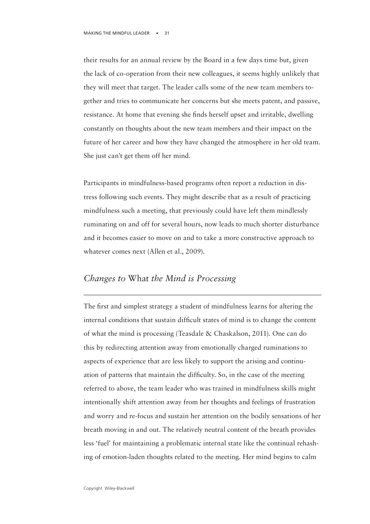their results for an annual review by the Board in a few days time but, given the lack of co-operation from their new colleagues, it seems highly unlikely that they will meet that target. The leader calls some of the new team members together and tries to communicate her concerns but she meets patent, and passive, resistance. At home that evening she finds herself upset and irritable, dwelling constantly on thoughts about the new team members and their impact on the future of her career and how they have changed the atmosphere in her old team. She just can't get them off her mind.

Participants in mindfulness-based programs often report a reduction in distress following such events. They might describe that as a result of practicing mindfulness such a meeting, that previously could have left them mindlessly ruminating on and off for several hours, now leads to much shorter disturbance and it becomes easier to move on and to take a more constructive approach to whatever comes next (Allen et al., 2009).

#### *Changes to* What *the Mind is Processing*

The first and simplest strategy a student of mindfulness learns for altering the internal conditions that sustain difficult states of mind is to change the content of what the mind is processing (Teasdale & Chaskalson, 2011). One can do this by redirecting attention away from emotionally charged ruminations to aspects of experience that are less likely to support the arising and continuation of patterns that maintain the difficulty. So, in the case of the meeting referred to above, the team leader who was trained in mindfulness skills might intentionally shift attention away from her thoughts and feelings of frustration and worry and re-focus and sustain her attention on the bodily sensations of her breath moving in and out. The relatively neutral content of the breath provides less 'fuel' for maintaining a problematic internal state like the continual rehashing of emotion-laden thoughts related to the meeting. Her mind begins to calm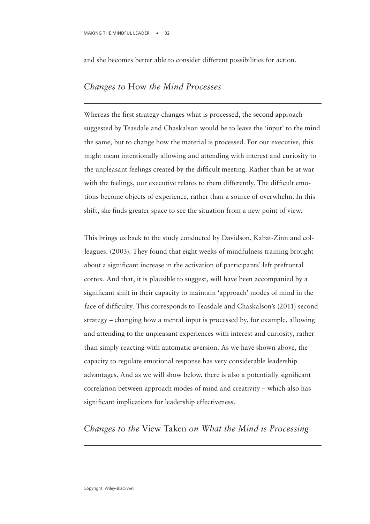and she becomes better able to consider different possibilities for action.

#### *Changes to* How *the Mind Processes*

Whereas the first strategy changes what is processed, the second approach suggested by Teasdale and Chaskalson would be to leave the 'input' to the mind the same, but to change how the material is processed. For our executive, this might mean intentionally allowing and attending with interest and curiosity to the unpleasant feelings created by the difficult meeting. Rather than be at war with the feelings, our executive relates to them differently. The difficult emotions become objects of experience, rather than a source of overwhelm. In this shift, she finds greater space to see the situation from a new point of view.

This brings us back to the study conducted by Davidson, Kabat-Zinn and colleagues. (2003). They found that eight weeks of mindfulness training brought about a significant increase in the activation of participants' left prefrontal cortex. And that, it is plausible to suggest, will have been accompanied by a significant shift in their capacity to maintain 'approach' modes of mind in the face of difficulty. This corresponds to Teasdale and Chaskalson's (2011) second strategy – changing how a mental input is processed by, for example, allowing and attending to the unpleasant experiences with interest and curiosity, rather than simply reacting with automatic aversion. As we have shown above, the capacity to regulate emotional response has very considerable leadership advantages. And as we will show below, there is also a potentially significant correlation between approach modes of mind and creativity – which also has significant implications for leadership effectiveness.

*Changes to the* View Taken *on What the Mind is Processing*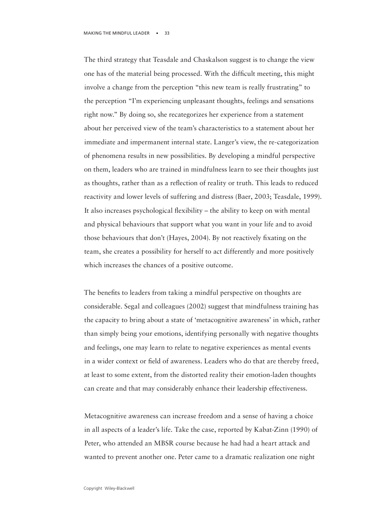The third strategy that Teasdale and Chaskalson suggest is to change the view one has of the material being processed. With the difficult meeting, this might involve a change from the perception "this new team is really frustrating" to the perception "I'm experiencing unpleasant thoughts, feelings and sensations right now." By doing so, she recategorizes her experience from a statement about her perceived view of the team's characteristics to a statement about her immediate and impermanent internal state. Langer's view, the re-categorization of phenomena results in new possibilities. By developing a mindful perspective on them, leaders who are trained in mindfulness learn to see their thoughts just as thoughts, rather than as a reflection of reality or truth. This leads to reduced reactivity and lower levels of suffering and distress (Baer, 2003; Teasdale, 1999). It also increases psychological flexibility – the ability to keep on with mental and physical behaviours that support what you want in your life and to avoid those behaviours that don't (Hayes, 2004). By not reactively fixating on the team, she creates a possibility for herself to act differently and more positively which increases the chances of a positive outcome.

The benefits to leaders from taking a mindful perspective on thoughts are considerable. Segal and colleagues (2002) suggest that mindfulness training has the capacity to bring about a state of 'metacognitive awareness' in which, rather than simply being your emotions, identifying personally with negative thoughts and feelings, one may learn to relate to negative experiences as mental events in a wider context or field of awareness. Leaders who do that are thereby freed, at least to some extent, from the distorted reality their emotion-laden thoughts can create and that may considerably enhance their leadership effectiveness.

Metacognitive awareness can increase freedom and a sense of having a choice in all aspects of a leader's life. Take the case, reported by Kabat-Zinn (1990) of Peter, who attended an MBSR course because he had had a heart attack and wanted to prevent another one. Peter came to a dramatic realization one night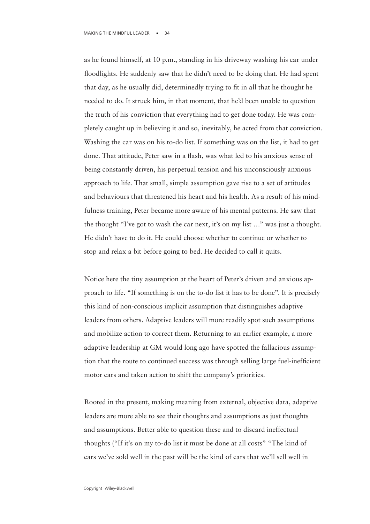as he found himself, at 10 p.m., standing in his driveway washing his car under floodlights. He suddenly saw that he didn't need to be doing that. He had spent that day, as he usually did, determinedly trying to fit in all that he thought he needed to do. It struck him, in that moment, that he'd been unable to question the truth of his conviction that everything had to get done today. He was completely caught up in believing it and so, inevitably, he acted from that conviction. Washing the car was on his to-do list. If something was on the list, it had to get done. That attitude, Peter saw in a flash, was what led to his anxious sense of being constantly driven, his perpetual tension and his unconsciously anxious approach to life. That small, simple assumption gave rise to a set of attitudes and behaviours that threatened his heart and his health. As a result of his mindfulness training, Peter became more aware of his mental patterns. He saw that the thought "I've got to wash the car next, it's on my list …" was just a thought. He didn't have to do it. He could choose whether to continue or whether to stop and relax a bit before going to bed. He decided to call it quits.

Notice here the tiny assumption at the heart of Peter's driven and anxious approach to life. "If something is on the to-do list it has to be done". It is precisely this kind of non-conscious implicit assumption that distinguishes adaptive leaders from others. Adaptive leaders will more readily spot such assumptions and mobilize action to correct them. Returning to an earlier example, a more adaptive leadership at GM would long ago have spotted the fallacious assumption that the route to continued success was through selling large fuel-inefficient motor cars and taken action to shift the company's priorities.

Rooted in the present, making meaning from external, objective data, adaptive leaders are more able to see their thoughts and assumptions as just thoughts and assumptions. Better able to question these and to discard ineffectual thoughts ("If it's on my to-do list it must be done at all costs" "The kind of cars we've sold well in the past will be the kind of cars that we'll sell well in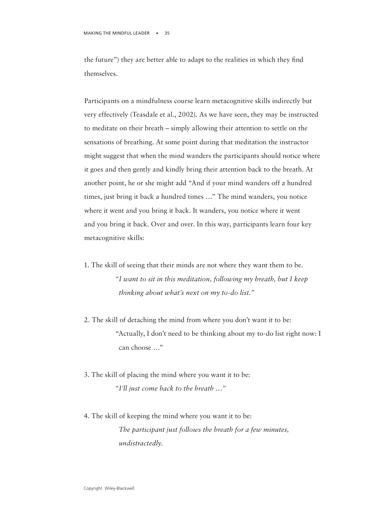the future") they are better able to adapt to the realities in which they find themselves.

Participants on a mindfulness course learn metacognitive skills indirectly but very effectively (Teasdale et al., 2002). As we have seen, they may be instructed to meditate on their breath – simply allowing their attention to settle on the sensations of breathing. At some point during that meditation the instructor might suggest that when the mind wanders the participants should notice where it goes and then gently and kindly bring their attention back to the breath. At another point, he or she might add "And if your mind wanders off a hundred times, just bring it back a hundred times …" The mind wanders, you notice where it went and you bring it back. It wanders, you notice where it went and you bring it back. Over and over. In this way, participants learn four key metacognitive skills:

- 1. The skill of seeing that their minds are not where they want them to be. *"I want to sit in this meditation, following my breath, but I keep thinking about what's next on my to-do list."*
- 2. The skill of detaching the mind from where you don't want it to be: "Actually, I don't need to be thinking about my to-do list right now: I can choose …"
- 3. The skill of placing the mind where you want it to be: *"I'll just come back to the breath …"*
- 4. The skill of keeping the mind where you want it to be: *The participant just follows the breath for a few minutes, undistractedly.*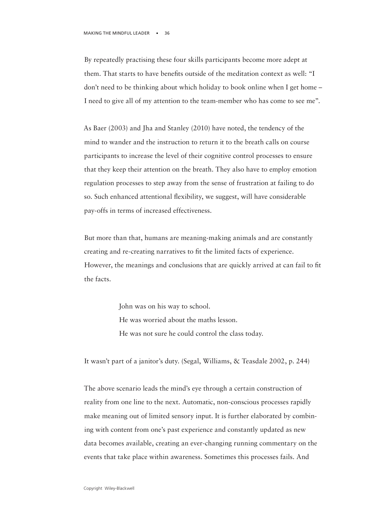By repeatedly practising these four skills participants become more adept at them. That starts to have benefits outside of the meditation context as well: "I don't need to be thinking about which holiday to book online when I get home – I need to give all of my attention to the team-member who has come to see me".

As Baer (2003) and Jha and Stanley (2010) have noted, the tendency of the mind to wander and the instruction to return it to the breath calls on course participants to increase the level of their cognitive control processes to ensure that they keep their attention on the breath. They also have to employ emotion regulation processes to step away from the sense of frustration at failing to do so. Such enhanced attentional flexibility, we suggest, will have considerable pay-offs in terms of increased effectiveness.

But more than that, humans are meaning-making animals and are constantly creating and re-creating narratives to fit the limited facts of experience. However, the meanings and conclusions that are quickly arrived at can fail to fit the facts.

> John was on his way to school. He was worried about the maths lesson. He was not sure he could control the class today.

It wasn't part of a janitor's duty. (Segal, Williams, & Teasdale 2002, p. 244)

The above scenario leads the mind's eye through a certain construction of reality from one line to the next. Automatic, non-conscious processes rapidly make meaning out of limited sensory input. It is further elaborated by combining with content from one's past experience and constantly updated as new data becomes available, creating an ever-changing running commentary on the events that take place within awareness. Sometimes this processes fails. And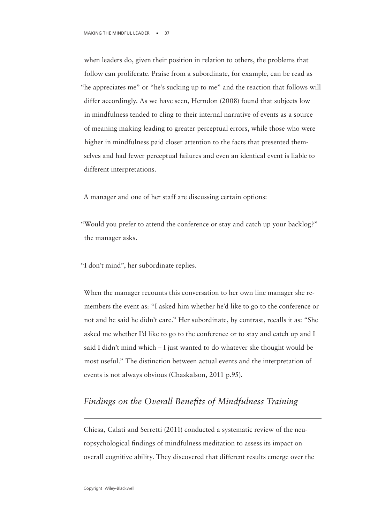when leaders do, given their position in relation to others, the problems that follow can proliferate. Praise from a subordinate, for example, can be read as "he appreciates me" or "he's sucking up to me" and the reaction that follows will differ accordingly. As we have seen, Herndon (2008) found that subjects low in mindfulness tended to cling to their internal narrative of events as a source of meaning making leading to greater perceptual errors, while those who were higher in mindfulness paid closer attention to the facts that presented themselves and had fewer perceptual failures and even an identical event is liable to different interpretations.

A manager and one of her staff are discussing certain options:

"Would you prefer to attend the conference or stay and catch up your backlog?" the manager asks.

"I don't mind", her subordinate replies.

When the manager recounts this conversation to her own line manager she remembers the event as: "I asked him whether he'd like to go to the conference or not and he said he didn't care." Her subordinate, by contrast, recalls it as: "She asked me whether I'd like to go to the conference or to stay and catch up and I said I didn't mind which – I just wanted to do whatever she thought would be most useful." The distinction between actual events and the interpretation of events is not always obvious (Chaskalson, 2011 p.95).

# *Findings on the Overall Benefits of Mindfulness Training*

Chiesa, Calati and Serretti (2011) conducted a systematic review of the neuropsychological findings of mindfulness meditation to assess its impact on overall cognitive ability. They discovered that different results emerge over the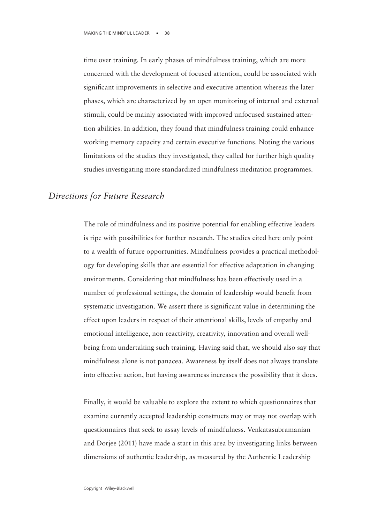time over training. In early phases of mindfulness training, which are more concerned with the development of focused attention, could be associated with significant improvements in selective and executive attention whereas the later phases, which are characterized by an open monitoring of internal and external stimuli, could be mainly associated with improved unfocused sustained attention abilities. In addition, they found that mindfulness training could enhance working memory capacity and certain executive functions. Noting the various limitations of the studies they investigated, they called for further high quality studies investigating more standardized mindfulness meditation programmes.

#### *Directions for Future Research*

The role of mindfulness and its positive potential for enabling effective leaders is ripe with possibilities for further research. The studies cited here only point to a wealth of future opportunities. Mindfulness provides a practical methodology for developing skills that are essential for effective adaptation in changing environments. Considering that mindfulness has been effectively used in a number of professional settings, the domain of leadership would benefit from systematic investigation. We assert there is significant value in determining the effect upon leaders in respect of their attentional skills, levels of empathy and emotional intelligence, non-reactivity, creativity, innovation and overall wellbeing from undertaking such training. Having said that, we should also say that mindfulness alone is not panacea. Awareness by itself does not always translate into effective action, but having awareness increases the possibility that it does.

Finally, it would be valuable to explore the extent to which questionnaires that examine currently accepted leadership constructs may or may not overlap with questionnaires that seek to assay levels of mindfulness. Venkatasubramanian and Dorjee (2011) have made a start in this area by investigating links between dimensions of authentic leadership, as measured by the Authentic Leadership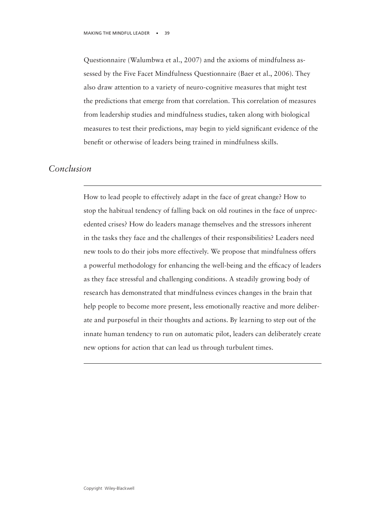Questionnaire (Walumbwa et al., 2007) and the axioms of mindfulness assessed by the Five Facet Mindfulness Questionnaire (Baer et al., 2006). They also draw attention to a variety of neuro-cognitive measures that might test the predictions that emerge from that correlation. This correlation of measures from leadership studies and mindfulness studies, taken along with biological measures to test their predictions, may begin to yield significant evidence of the benefit or otherwise of leaders being trained in mindfulness skills.

#### *Conclusion*

How to lead people to effectively adapt in the face of great change? How to stop the habitual tendency of falling back on old routines in the face of unprecedented crises? How do leaders manage themselves and the stressors inherent in the tasks they face and the challenges of their responsibilities? Leaders need new tools to do their jobs more effectively. We propose that mindfulness offers a powerful methodology for enhancing the well-being and the efficacy of leaders as they face stressful and challenging conditions. A steadily growing body of research has demonstrated that mindfulness evinces changes in the brain that help people to become more present, less emotionally reactive and more deliberate and purposeful in their thoughts and actions. By learning to step out of the innate human tendency to run on automatic pilot, leaders can deliberately create new options for action that can lead us through turbulent times.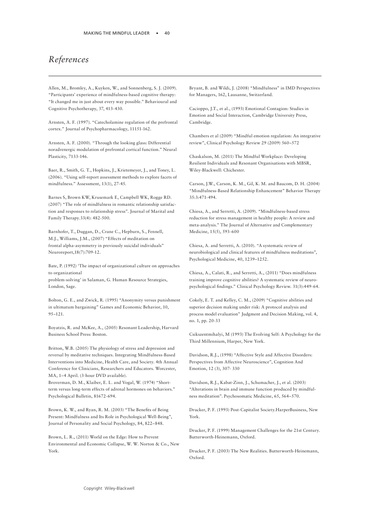#### *References*

Allen, M., Bromley, A., Kuyken, W., and Sonnenberg, S. J. (2009). "Participants' experience of mindfulness-based cognitive therapy: "It changed me in just about every way possible." Behavioural and Cognitive Psychotherapy, 37, 413-430.

Arnsten, A. F. (1997). "Catecholamine regulation of the prefrontal cortex." Journal of Psychopharmacology, 11151-162.

Arnsten, A. F. (2000). "Through the looking glass: Differential noradrenergic modulation of prefrontal cortical function." Neural Plasticity, 7133-146.

Baer, R., Smith, G. T., Hopkins, J., Krietemeyer, J., and Toney, L. (2006). "Using self-report assessment methods to explore facets of mindfulness." Assessment, 13(1), 27-45.

Barnes S, Brown KW, Krusemark E, Campbell WK, Rogge RD. (2007) "The role of mindfulness in romantic relationship satisfaction and responses to relationship stress". Journal of Marital and Family Therapy.33(4): 482-500.

Barnhofer, T., Duggan, D., Crane C., Hepburn, S., Fennell, M.J., Williams, J.M., (2007) "Effects of meditation on frontal alpha-asymmetry in previously suicidal individuals" Neuroreport,18(7):709-12.

Bate, P. (1992) 'The impact of organizational culture on approaches to organizational problem-solving' in Salaman, G. Human Resource Strategies, London, Sage.

Bolton, G. E., and Zwick, R. (1995) "Anonymity versus punishment in ultimatum bargaining" Games and Economic Behavior, 10, 95–121.

Boyatzis, R. and McKee, A., (2005) Resonant Leadership, Harvard Business School Press: Boston.

Britton, W.B. (2005) The physiology of stress and depression and reversal by meditative techniques. Integrating Mindfulness-Based Interventions into Medicine, Health Care, and Society. 4th Annual Conference for Clinicians, Researchers and Educators. Worcester, MA, 1–4 April. (3-hour DVD available).

Broverman, D. M., Klaiber, E. L. and Vogal, W. (1974) "Shortterm versus long-term effects of adrenal hormones on behaviors." Psychological Bulletin, 81672-694.

Brown, K. W., and Ryan, R. M. (2003) "The Benefits of Being Present: Mindfulness and Its Role in Psychological Well-Being", Journal of Personality and Social Psychology, 84, 822–848.

Brown, L. R., (2011) World on the Edge: How to Prevent Environmental and Economic Collapse, W. W. Norton & Co., New York.

Bryant, B. and Wildi, J. (2008) "Mindfulness" in IMD Perspectives for Managers, 162, Lausanne, Switzerland.

Cacioppo, J.T., et al., (1993) Emotional Contagion: Studies in Emotion and Social Interaction, Cambridge University Press, Cambridge.

Chambers et al (2009) "Mindful emotion regulation: An integrative review", Clinical Psychology Review 29 (2009) 560–572

Chaskalson, M. (2011) The Mindful Workplace: Developing Resilient Individuals and Resonant Organisations with MBSR, Wiley-Blackwell: Chichester.

Carson, J.W., Carson, K. M., Gil, K. M. and Baucom, D. H. (2004) "Mindfulness-Based Relationship Enhancement" Behavior Therapy 35:3:471-494.

Chiesa, A., and Serretti, A. (2009). "Mindfulness-based stress reduction for stress management in healthy people: A review and meta-analysis." The Journal of Alternative and Complementary Medicine, 15(5), 593-600

Chiesa, A. and Serretti, A. (2010). "A systematic review of neurobiological and clinical features of mindfulness meditations", Psychological Medicine, 40, 1239–1252.

Chiesa, A., Calati, R., and Serretti, A., (2011) "Does mindfulness training improve cognitive abilities? A systematic review of neuropsychological findings." Clinical Psychology Review. 31(3):449-64.

Cokely, E. T. and Kelley, C. M., (2009) "Cognitive abilities and superior decision making under risk: A protocol analysis and process model evaluation" Judgment and Decision Making, vol. 4, no. 1, pp. 20-33

Csikszentmihalyi, M (1993) The Evolving Self: A Psychology for the Third Millennium, Harper, New York.

Davidson, R.J., (1998) "Affective Style and Affective Disorders: Perspectives from Affective Neuroscience", Cognition And Emotion, 12 (3), 307- 330

Davidson, R.J., Kabat-Zinn, J., Schumacher, J., et al. (2003) "Alterations in brain and immune function produced by mindfulness meditation". Psychosomatic Medicine, 65, 564–570.

Drucker, P. F. (1993) Post-Capitalist Society.HarperBusiness, New York.

Drucker, P. F. (1999) Management Challenges for the 21st Century. Butterworth-Heinemann, Oxford.

Drucker, P. F. (2003) The New Realities. Butterworth-Heinemann, Oxford.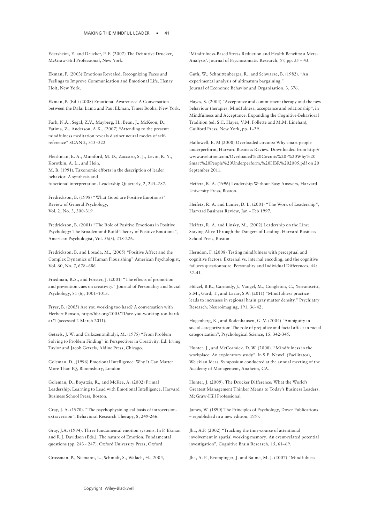Edersheim, E. and Drucker, P. F. (2007) The Definitive Drucker, McGraw-Hill Professional, New York.

Ekman, P. (2003) Emotions Revealed: Recognizing Faces and Feelings to Improve Communication and Emotional Life. Henry Holt, New York.

Ekman, P. (Ed.) (2008) Emotional Awareness: A Conversation between the Dalai Lama and Paul Ekman. Times Books, New York.

Farb, N.A., Segal, Z.V., Mayberg, H., Bean, J., McKeon, D., Fatima, Z., Anderson, A.K., (2007) "Attending to the present: mindfulness meditation reveals distinct neural modes of selfreference" SCAN 2, 313–322

Fleishman, E. A., Mumford, M. D., Zaccaro, S. J., Levin, K. Y., Korotkin, A. L., and Hein, M. B. (1991). Taxonomic efforts in the description of leader behavior: A synthesis and functional interpretation. Leadership Quarterly, 2, 245–287.

Fredrickson, B. (1998) "What Good are Positive Emotions?" Review of General Psychology, Vol. 2, No. 3, 300-319

Fredrickson, B. (2001) "The Role of Positive Emotions in Positive Psychology: The Broaden-and-Build-Theory of Positive Emotions", American Psychologist, Vol. 56(3), 218-226.

Fredrickson, B. and Losada, M., (2005) "Positive Affect and the Complex Dynamics of Human Flourishing" American Psychologist, Vol. 60, No. 7, 678–686

Friedman, R.S., and Forster, J. (2001) "The effects of promotion and prevention cues on creativity." Journal of Personality and Social Psychology, 81 (6), 1001–1013.

Fryer, B. (2005) Are you working too hard? A conversation with Herbert Benson, http://hbr.org/2005/11/are-you-working-too-hard/ ar/1 (accessed 2 March 2011).

Getzels, J. W. and Csikszentmihalyi, M. (1975) "From Problem Solving to Problem Finding" in Perspectives in Creativity. Ed. Irving Taylor and Jacob Getzels, Aldine Press, Chicago.

Goleman, D., (1996) Emotional Intelligence: Why It Can Matter More Than IQ, Bloomsbury, London

Goleman, D., Boyatzis, R., and McKee, A. (2002) Primal Leadership: Learning to Lead with Emotional Intelligence, Harvard Business School Press, Boston.

Gray, J. A. (1970). "The psychophysiological basis of introversionextraversion", Behavioral Research Therapy, 8, 249-266.

Gray, J.A. (1994). Three fundamental emotion systems. In P. Ekman and R.J. Davidson (Eds.), The nature of Emotion: Fundamental questions (pp. 243 - 247). Oxford University Press, Oxford

Grossman, P., Niemann, L., Schmidt, S., Walach, H., 2004,

'Mindfulness-Based Stress Reduction and Health Benefits: a Meta-Analysis'. Journal of Psychosomatic Research, 57, pp. 35 – 43.

Guth, W., Schmittenberger, R., and Schwarze, B. (1982). "An experimental analysis of ultimatum bargaining." Journal of Economic Behavior and Organisation. 3, 376.

Hayes, S. (2004) "Acceptance and commitment therapy and the new behaviour therapies: Mindfulness, acceptance and relationship", in Mindfulness and Acceptance: Expanding the Cognitive-Behavioral Tradition (ed. S.C. Hayes, V.M. Follette and M.M. Linehan), Guilford Press, New York, pp. 1–29.

Hallowell, E. M (2008) Overloaded circuits: Why smart people underperform, Harvard Business Review. Downloaded from http:// www.avelution.com/Overloaded%20Circuits%20-%20Why%20 Smart%20People%20Underperform,%20HBR%202005.pdf on 20 September 2011.

Heifetz, R. A. (1996) Leadership Without Easy Answers, Harvard University Press, Boston.

Heifetz, R. A. and Laurie, D. L. (2001) "The Work of Leadership", Harvard Business Review, Jan – Feb 1997.

Heifetz, R. A. and Linsky, M., (2002) Leadership on the Line: Staying Alive Through the Dangers of Leading. Harvard Business School Press, Boston

Herndon, F. (2008) Testing mindfulness with perceptual and cognitive factors: External vs. internal encoding, and the cognitive failures questionnaire. Personality and Individual Differences, 44: 32-41.

Hölzel, B.K., Carmody, J., Vangel, M., Congleton, C., Yerramsetti, S.M., Gard, T., and Lazar, S.W. (2011) "Mindfulness practice leads to increases in regional brain gray matter density." Psychiatry Research: Neuroimaging, 191, 36-42.

Hugenberg, K., and Bodenhausen, G. V. (2004) "Ambiguity in social categorization: The role of prejudice and facial affect in racial categorization", Psychological Science, 15, 342-345.

Hunter, J., and McCormick, D. W. (2008). "Mindfulness in the workplace: An exploratory study". In S.E. Newell (Facilitator), Weickian Ideas. Symposium conducted at the annual meeting of the Academy of Management, Anaheim, CA.

Hunter, J. (2009). The Drucker Difference: What the World's Greatest Management Thinker Means to Today's Business Leaders. McGraw-Hill Professional

James, W. (1890) The Principles of Psychology, Dover Publications – republished in a new edition, 1957.

Jha, A.P. (2002) "Tracking the time-course of attentional involvement in spatial working memory: An event-related potential investigation", Cognitive Brain Research, 15, 61–69.

Jha, A. P., Krompinger, J. and Baime, M. J. (2007) "Mindfulness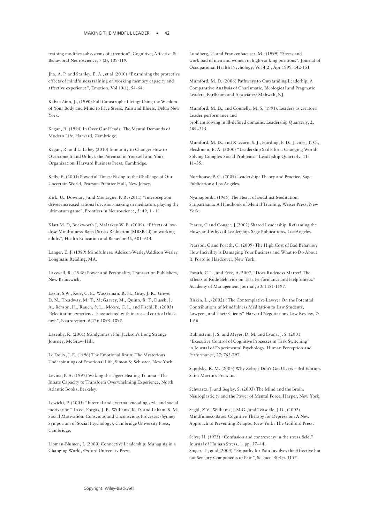training modifies subsystems of attention", Cognitive, Affective & Behavioral Neuroscience, 7 (2), 109-119.

Jha, A. P. and Stanley, E. A., et al (2010) "Examining the protective effects of mindfulness training on working memory capacity and affective experience", Emotion, Vol 10(1), 54-64.

Kabat-Zinn, J., (1990) Full Catastrophe Living: Using the Wisdom of Your Body and Mind to Face Stress, Pain and Illness, Delta: New York.

Kegan, R. (1994) In Over Our Heads: The Mental Demands of Modern Life. Harvard, Cambridge.

Kegan, R. and L. Lahey (2010) Immunity to Change: How to Overcome It and Unlock the Potential in Yourself and Your Organization. Harvard Business Press, Cambridge.

Kelly, E. (2005) Powerful Times: Rising to the Challenge of Our Uncertain World, Pearson-Prentice Hall, New Jersey.

Kirk, U., Downar, J and Montague, P. R. (2011) "Interoception drives increased rational decision-making in meditators playing the ultimatum game", Frontiers in Neuroscience, 5: 49, 1 - 11

Klatt M. D, Buckworth J, Malarkey W. B. (2009). "Effects of lowdose Mindfulness-Based Stress Reduction (MBSR-ld) on working adults", Health Education and Behavior 36, 601–614.

Langer, E. J. (1989) Mindfulness. Addison-Wesley/Addison Wesley Longman: Reading, MA.

Lasswell, R. (1948) Power and Personality, Transaction Publishers, New Brunswick.

Lazar, S.W., Kerr, C. E., Wasserman, R. H., Gray, J. R., Greve, D. N., Treadway, M. T., McGarvey, M., Quinn, B. T., Dusek, J. A., Benson, H., Rauch, S. L., Moore, C. I., and Fischl, B. (2005) "Meditation experience is associated with increased cortical thickness", Neuroreport. 6(17): 1893–1897.

Lazenby, R. (2001) Mindgames : Phil Jackson's Long Strange Journey, McGraw-Hill.

Le Doux, J. E. (1996) The Emotional Brain: The Mysterious Underpinnings of Emotional Life, Simon & Schuster, New York.

Levine, P. A. (1997) Waking the Tiger: Healing Trauma - The Innate Capacity to Transform Overwhelming Experience, North Atlantic Books, Berkeley.

Lewicki, P. (2005) "Internal and external encoding style and social motivation". In ed. Forgas, J. P., Williams, K. D. and Laham, S. M. Social Motivation: Conscious and Unconscious Processes (Sydney Symposium of Social Psychology), Cambridge University Press, Cambridge.

Lipman-Blumen, J. (2000) Connective Leadership: Managing in a Changing World, Oxford University Press.

Lundberg, U. and Frankenhaeuser, M., (1999) "Stress and workload of men and women in high-ranking positions", Journal of Occupational Health Psychology, Vol 4(2), Apr 1999, 142-151

Mumford, M. D. (2006) Pathways to Outstanding Leaderhip: A Comparative Analysis of Charismatic, Ideological and Pragmatic Leaders, Earlbaum and Associates: Mahwah, NJ.

Mumford, M. D., and Connelly, M. S. (1991). Leaders as creators: Leader performance and

problem solving in ill-defined domains. Leadership Quarterly, 2, 289–315.

Mumford, M. D., and Xaccaro, S. J., Harding, F. D., Jacobs, T. O., Fleishman, E. A. (2000) "Leadership Skills for a Changing World: Solving Complex Social Problems." Leadership Quarterly, 11:  $11-35$ 

Northouse, P. G. (2009) Leadership: Theory and Practice, Sage Publications; Los Angeles.

Nyanaponika (1965) The Heart of Buddhist Meditation: Satipatthana: A Handbook of Mental Training, Weiser Press, New York.

Pearce, C and Conger, J (2002) Shared Leadership: Reframing the Hows and Whys of Leadership. Sage Publications, Los Angeles.

Pearson, C and Porath, C. (2009) The High Cost of Bad Behavior: How Incivility is Damaging Your Business and What to Do About It. Portolio Hardcover, New York.

Porath, C.L., and Erez, A. 2007. "Does Rudeness Matter? The Effects of Rude Behavior on Task Performance and Helpfulness." Academy of Management Journal, 50: 1181-1197.

Riskin, L., (2002) "The Contemplative Lawyer On the Potential Contributions of Mindfulness Meditation to Law Students, Lawyers, and Their Clients" Harvard Negotiations Law Review, 7: 1-66.

Rubinstein, J. S. and Meyer, D. M. and Evans, J. S. (2001) "Executive Control of Cognitive Processes in Task Switching" in Journal of Experimental Psychology: Human Perception and Performance, 27: 763-797.

Sapolsky, R. M. (2004) Why Zebras Don't Get Ulcers – 3rd Edition. Saint Martin's Press Inc.

Schwartz, J. and Begley, S. (2003) The Mind and the Brain: Neuroplasticity and the Power of Mental Force, Harper, New York.

Segal, Z.V., Williams, J.M.G., and Teasdale, J.D., (2002) Mindfulness-Based Cognitive Therapy for Depression: A New Approach to Preventing Relapse, New York: The Guilford Press.

Selye, H. (1975) "Confusion and controversy in the stress field." Journal of Human Stress, 1, pp. 37–44. Singer, T., et al (2004) "Empathy for Pain Involves the Affective but not Sensory Components of Pain", Science, 303 p. 1157.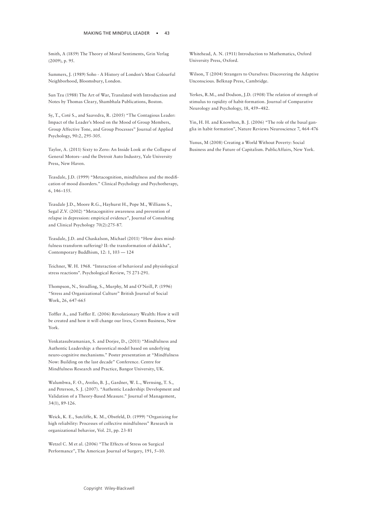Smith, A (1859) The Theory of Moral Sentiments, Grin Verlag (2009), p. 95.

Summers, J. (1989) Soho - A History of London's Most Colourful Neighborhood, Bloomsbury, London.

Sun Tzu (1988) The Art of War, Translated with Introduction and Notes by Thomas Cleary, Shambhala Publications, Boston.

Sy, T., Coté S., and Saavedra, R. (2005) "The Contagious Leader: Impact of the Leader's Mood on the Mood of Group Members, Group Affective Tone, and Group Processes" Journal of Applied Psychology, 90:2, 295-305.

Taylor, A. (2011) Sixty to Zero: An Inside Look at the Collapse of General Motors--and the Detroit Auto Industry, Yale University Press, New Haven.

Teasdale, J.D. (1999) "Metacognition, mindfulness and the modification of mood disorders." Clinical Psychology and Psychotherapy, 6, 146–155.

Teasdale J.D., Moore R.G., Hayhurst H., Pope M., Williams S., Segal Z.V. (2002) "Metacognitive awareness and prevention of relapse in depression: empirical evidence", Journal of Consulting and Clinical Psychology 70(2):275-87.

Teasdale, J.D. and Chaskalson, Michael (2011) "How does mindfulness transform suffering? II: the transformation of dukkha", Contemporary Buddhism, 12: 1, 103 — 124

Teichner, W. H. 1968. "Interaction of behavioral and physiological stress reactions". Psychological Review, 75 271-291.

Thompson, N., Stradling, S., Murphy, M and O'Neill, P. (1996) "Stress and Organizational Culture" British Journal of Social Work, 26, 647-665

Toffler A., and Toffler E. (2006) Revolutionary Wealth: How it will be created and how it will change our lives, Crown Business, New York.

Venkatasubramanian, S. and Dorjee, D., (2011) "Mindfulness and Authentic Leadership: a theoretical model based on underlying neuro-cognitive mechanisms." Poster presentation at "Mindfulness Now: Building on the last decade" Conference. Centre for Mindfulness Research and Practice, Bangor University, UK.

Walumbwa, F. O., Avolio, B. J., Gardner, W. L., Wernsing, T. S., and Peterson, S. J. (2007). "Authentic Leadership: Development and Validation of a Theory-Based Measure." Journal of Management, 34(1), 89-126.

Weick, K. E., Sutcliffe, K. M., Obstfeld, D. (1999) "Organizing for high reliability: Processes of collective mindfulness" Research in organizational behavior, Vol. 21, pp. 23-81

Wetzel C. M et al. (2006) "The Effects of Stress on Surgical Performance", The American Journal of Surgery, 191, 5–10.

Whitehead, A. N. (1911) Introduction to Mathematics, Oxford University Press, Oxford.

Wilson, T (2004) Strangers to Ourselves: Discovering the Adaptive Unconscious. Belknap Press, Cambridge.

Yerkes, R.M., and Dodson, J.D. (1908) The relation of strength of stimulus to rapidity of habit-formation. Journal of Comparative Neurology and Psychology, 18, 459–482.

Yin, H. H. and Knowlton, B. J. (2006) "The role of the basal ganglia in habit formation", Nature Reviews Neuroscience 7, 464-476

Yunus, M (2008) Creating a World Without Poverty: Social Business and the Future of Capitalism. PublicAffairs, New York.